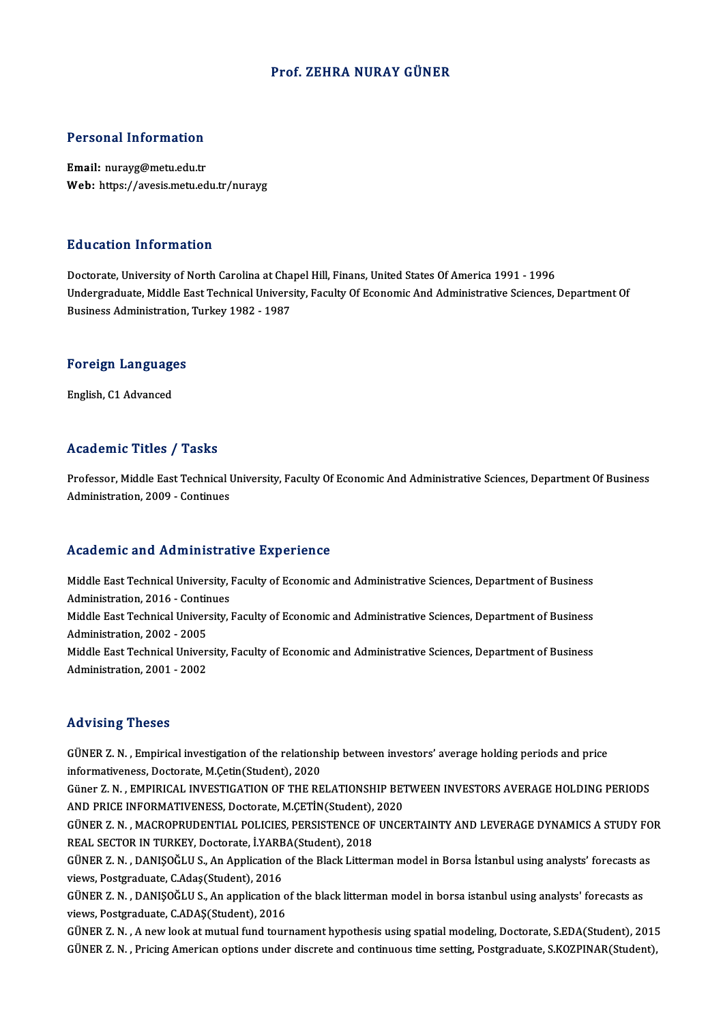### Prof. ZEHRA NURAY GÜNER

### Personal Information

Email: nurayg@metu.edu.tr Web: https://avesis.metu.edu.tr/nurayg

### Education Information

Doctorate, University of North Carolina at Chapel Hill, Finans, United States Of America 1991 - 1996 Undergraduate, Middle East Technical University, Faculty Of Economic And Administrative Sciences, Department Of Business Administration, Turkey 1982 - 1987

# **Business Administration,<br>Foreign Languages** <mark>Foreign Languag</mark>e<br>English, C1 Advanced

# English, C1 Advanced<br>Academic Titles / Tasks

A**cademic Titles / Tasks**<br>Professor, Middle East Technical University, Faculty Of Economic And Administrative Sciences, Department Of Business<br>Administration, 2009, Continues Administration, Pressie<br>Professor, Middle East Technical I<br>Administration, 2009 - Continues

# Administration, 2009 - Continues<br>Academic and Administrative Experience

Academic and Administrative Experience<br>Middle East Technical University, Faculty of Economic and Administrative Sciences, Department of Business<br>Administration 2016, Continues Middle East Technical University, b<br>Middle East Technical University, b<br>Middle Fast Technical University Middle East Technical University, Faculty of Economic and Administrative Sciences, Department of Business<br>Administration, 2016 - Continues<br>Middle East Technical University, Faculty of Economic and Administrative Sciences, Administration, 2016 - Continues<br>Middle East Technical University, Faculty of Economic and Administrative Sciences, Department of Business<br>Administration, 2002 - 2005 Middle East Technical University, Faculty of Economic and Administrative Sciences, Department of Business<br>Administration, 2002 - 2005<br>Middle East Technical University, Faculty of Economic and Administrative Sciences, Depar Administration, 2002 - 2005<br>Middle East Technical Univer:<br>Administration, 2001 - 2002 Administration, 2001 - 2002<br>Advising Theses

Advising Theses<br>GÜNER Z. N. , Empirical investigation of the relationship between investors' average holding periods and price<br>informativeness, Desterate M Getin(Student), 2020 informativeness, Doctorate, M.Çetin(Student), 2020<br>informativeness, Doctorate, M.Çetin(Student), 2020<br>Cüner Z. N., EMBIRICAL INVESTICATION OF THE RE GÜNER Z. N. , Empirical investigation of the relationship between investors' average holding periods and price<br>informativeness, Doctorate, M.Çetin(Student), 2020<br>Güner Z. N. , EMPIRICAL INVESTIGATION OF THE RELATIONSHIP BE informativeness, Doctorate, M.Çetin(Student), 2020<br>Güner Z. N. , EMPIRICAL INVESTIGATION OF THE RELATIONSHIP BET<br>AND PRICE INFORMATIVENESS, Doctorate, M.ÇETİN(Student), 2020<br>CÜNER Z. N. MACROPRUDENTIAL POLICIES, PERSISTENC AND PRICE INFORMATIVENESS, Doctorate, M.ÇETİN(Student), 2020<br>GÜNER Z. N. , MACROPRUDENTIAL POLICIES, PERSISTENCE OF UNCERTAINTY AND LEVERAGE DYNAMICS A STUDY FOR AND PRICE INFORMATIVENESS, Doctorate, M.ÇETİN(Student),<br>GÜNER Z. N. , MACROPRUDENTIAL POLICIES, PERSISTENCE OF<br>REAL SECTOR IN TURKEY, Doctorate, İ.YARBA(Student), 2018<br>CÜNER Z. N. , DANISOČLU S. An Annligation of the Plack GÜNER Z. N. , MACROPRUDENTIAL POLICIES, PERSISTENCE OF UNCERTAINTY AND LEVERAGE DYNAMICS A STUDY FO<br>REAL SECTOR IN TURKEY, Doctorate, İ.YARBA(Student), 2018<br>GÜNER Z. N. , DANIŞOĞLU S., An Application of the Black Litterman REAL SECTOR IN TURKEY, Doctorate, İ.YARB<br>GÜNER Z. N. , DANIŞOĞLU S., An Application<br>views, Postgraduate, C.Adaş(Student), 2016<br>CÜNER Z. N. , DANISOĞLU S. An application GÜNER Z. N. , DANIŞOĞLU S., An Application of the Black Litterman model in Borsa İstanbul using analysts' forecasts a<br>views, Postgraduate, C.Adaş(Student), 2016<br>GÜNER Z. N. , DANIŞOĞLU S., An application of the black litte views, Postgraduate, C.Adaş(Student), 2016<br>GÜNER Z. N. , DANIŞOĞLU S., An application o<br>views, Postgraduate, C.ADAŞ(Student), 2016<br>GÜNER Z. N. , A novulaslı at mutual fund tevn GÜNER Z. N. , DANIŞOĞLU S., An application of the black litterman model in borsa istanbul using analysts' forecasts as<br>views, Postgraduate, C.ADAŞ(Student), 2016<br>GÜNER Z. N. , A new look at mutual fund tournament hypothesi views, Postgraduate, C.ADAŞ(Student), 2016<br>GÜNER Z. N. , A new look at mutual fund tournament hypothesis using spatial modeling, Doctorate, S.EDA(Student), 2015<br>GÜNER Z. N. , Pricing American options under discrete and con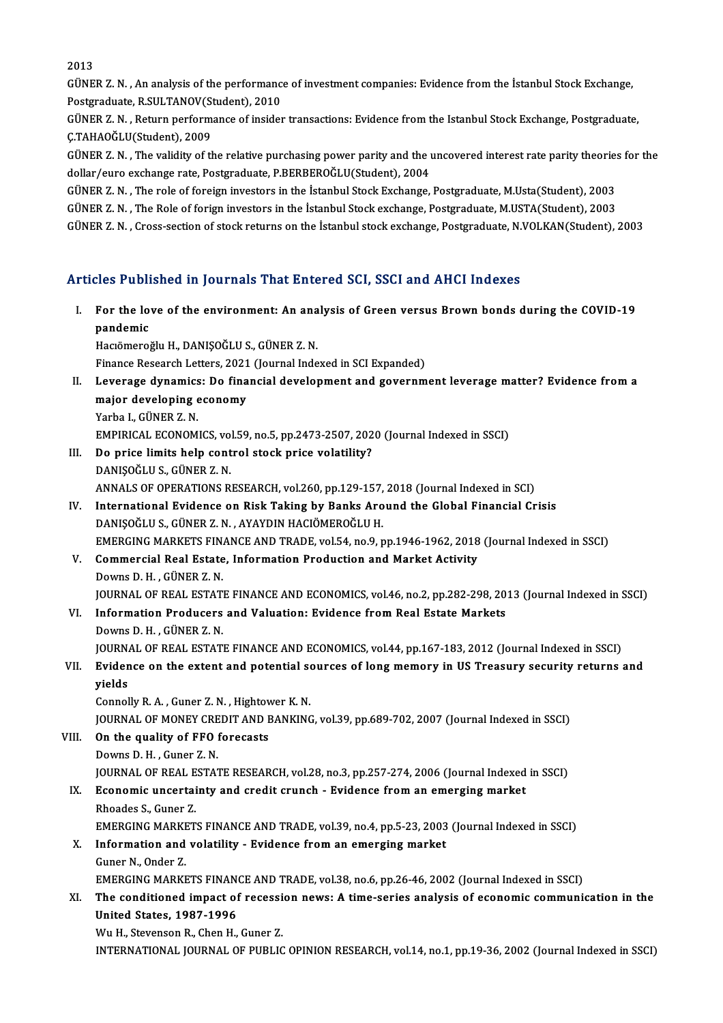2013

2013<br>GÜNER Z. N. , An analysis of the performance of investment companies: Evidence from the İstanbul Stock Exchange,<br>Restanaduate, R SULTANOV(Student), 2010 2013<br>GÜNER Z. N. , An analysis of the performanc<br>Postgraduate, R.SULTANOV(Student), 2010<br>GÜNER Z. N. , Return performance of insider Postgraduate, R.SULTANOV(Student), 2010

GÜNER Z. N. , Return performance of insider transactions: Evidence from the Istanbul Stock Exchange, Postgraduate,<br>Ç.TAHAOĞLU(Student), 2009 GÜNER Z. N. , Return performance of insider transactions: Evidence from the Istanbul Stock Exchange, Postgraduate,<br>Ç.TAHAOĞLU(Student), 2009<br>GÜNER Z. N. , The validity of the relative purchasing power parity and the uncove

Ç.TAHAOĞLU(Student), 2009<br>GÜNER Z. N. , The validity of the relative purchasing power parity and the l<br>dollar/euro exchange rate, Postgraduate, P.BERBEROĞLU(Student), 2004<br>CÜNER Z. N. ...The role of foreign investors in th GÜNER Z. N. , The validity of the relative purchasing power parity and the uncovered interest rate parity theories<br>dollar/euro exchange rate, Postgraduate, P.BERBEROĞLU(Student), 2004<br>GÜNER Z. N. , The role of foreign inve

dollar/euro exchange rate, Postgraduate, P.BERBEROĞLU(Student), 2004<br>GÜNER Z. N. , The role of foreign investors in the İstanbul Stock Exchange, Postgraduate, M.Usta(Student), 2003<br>GÜNER Z. N. , The Role of forign investor GÜNER Z. N. , The role of foreign investors in the İstanbul Stock Exchange, Postgraduate, M.Usta(Student), 2003<br>GÜNER Z. N. , The Role of forign investors in the İstanbul Stock exchange, Postgraduate, M.USTA(Student), 2003 GÜNER Z. N. , Cross-section of stock returns on the İstanbul stock exchange, Postgraduate, N.VOLKAN(Student), 2003<br>Articles Published in Journals That Entered SCI, SSCI and AHCI Indexes

rticles Published in Journals That Entered SCI, SSCI and AHCI Indexes<br>I. For the love of the environment: An analysis of Green versus Brown bonds during the COVID-19<br>nandamis For the lot<br>pandemic<br>Hagëmanai pandemic<br>Hacıömeroğlu H., DANIŞOĞLU S., GÜNER Z. N. pandemic<br>Hacıömeroğlu H., DANIŞOĞLU S., GÜNER Z. N.<br>Finance Research Letters, 2021 (Journal Indexed in SCI Expanded)<br>Lavenage dynamics: De finangial davelarment and gavennm

- Hacıömeroğlu H., DANIŞOĞLU S., GÜNER Z. N.<br>Finance Research Letters, 2021 (Journal Indexed in SCI Expanded)<br>II. Leverage dynamics: Do financial development and government leverage matter? Evidence from a<br>major developi Finance Research Letters, 2021<br>Leverage dynamics: Do fina<br>major developing economy<br><sup>Varba L. CÜNER 7 N</sup> Leverage dynamics<br>major developing e<br>Yarba I., GÜNER Z. N.<br>EMBIRICAL ECONOM major developing economy<br>Yarba I., GÜNER Z. N.<br>EMPIRICAL ECONOMICS, vol.59, no.5, pp.2473-2507, 2020 (Journal Indexed in SSCI) Yarba I., GÜNER Z. N.<br>EMPIRICAL ECONOMICS, vol.59, no.5, pp.2473-2507, 202<br>III. Do price limits help control stock price volatility?<br>DANISOČLUS CÜNER Z. N
- EMPIRICAL ECONOMICS, vol<br>Do price limits help cont<br>DANIŞOĞLU S., GÜNER Z. N.<br>ANNAI S.OE OPERATIONS P. Do price limits help control stock price volatility?<br>DANIŞOĞLU S., GÜNER Z. N.<br>ANNALS OF OPERATIONS RESEARCH, vol.260, pp.129-157, 2018 (Journal Indexed in SCI)<br>International Evidence en Bisk Taking by Banks Around the Clo DANIŞOĞLU S., GÜNER Z. N.<br>ANNALS OF OPERATIONS RESEARCH, vol.260, pp.129-157, 2018 (Journal Indexed in SCI)<br>IV. International Evidence on Risk Taking by Banks Around the Global Financial Crisis<br>DANISOČLU S. CÜNER Z. N. AYA
- ANNALS OF OPERATIONS RESEARCH, vol.260, pp.129-157,<br>International Evidence on Risk Taking by Banks Aro<br>DANIŞOĞLU S., GÜNER Z. N. , AYAYDIN HACIÖMEROĞLU H.<br>EMERCING MARKETS EINANCE AND TRADE vol.54 no.9 r IV. International Evidence on Risk Taking by Banks Around the Global Financial Crisis<br>DANIŞOĞLU S., GÜNER Z. N. , AYAYDIN HACIÖMEROĞLU H.<br>EMERGING MARKETS FINANCE AND TRADE, vol.54, no.9, pp.1946-1962, 2018 (Journal Indexe DANIŞOĞLU S., GÜNER Z. N. , AYAYDIN HACIÖMEROĞLU H.<br>EMERGING MARKETS FINANCE AND TRADE, vol.54, no.9, pp.1946-1962, 2018<br>V. Commercial Real Estate, Information Production and Market Activity<br>Doume D. H. CÜNER Z. N
- EMERGING MARKETS FIN.<br>Commercial Real Estate<br>Downs D. H. , GÜNER Z. N.<br>JOUPNAL OF PEAL ESTATI Commercial Real Estate, Information Production and Market Activity<br>Downs D. H. , GÜNER Z. N.<br>JOURNAL OF REAL ESTATE FINANCE AND ECONOMICS, vol.46, no.2, pp.282-298, 2013 (Journal Indexed in SSCI)<br>Information Producers and Downs D. H., GÜNER Z. N.<br>JOURNAL OF REAL ESTATE FINANCE AND ECONOMICS, vol.46, no.2, pp.282-298, 20<br>VI. Information Producers and Valuation: Evidence from Real Estate Markets<br>Downs D. H., GÜNER Z. N.
- **JOURNAL OF REAL ESTAT<br>Information Producers<br>Downs D. H., GÜNER Z. N.**<br>JOUPNAL OF PEAL ESTATI Information Producers and Valuation: Evidence from Real Estate Markets<br>Downs D. H. , GÜNER Z. N.<br>JOURNAL OF REAL ESTATE FINANCE AND ECONOMICS, vol.44, pp.167-183, 2012 (Journal Indexed in SSCI)<br>Evidence on the evitant and Downs D. H. , GÜNER Z. N.<br>JOURNAL OF REAL ESTATE FINANCE AND ECONOMICS, vol.44, pp.167-183, 2012 (Journal Indexed in SSCI)<br>VII. Evidence on the extent and potential sources of long memory in US Treasury security return

# JOURN<br><mark>Evider</mark><br>yields<br>Cennel Evidence on the extent and potential so<br>yields<br>Connolly R. A. , Guner Z. N. , Hightower K. N.<br>JOUPMAL OF MONEY CREDIT AND PANKING

yields<br>Connolly R. A. , Guner Z. N. , Hightower K. N.<br>JOURNAL OF MONEY CREDIT AND BANKING, vol.39, pp.689-702, 2007 (Journal Indexed in SSCI) Connolly R. A., Guner Z. N., Hightov<br>JOURNAL OF MONEY CREDIT AND F<br>VIII. On the quality of FFO forecasts<br>Doume D. H., Guner Z. N.

**JOURNAL OF MONEY CRE<br>On the quality of FFO**<br>Downs D. H. , Guner Z. N.<br>JOUPNAL OF PEAL ESTA? Downs D. H. , Guner Z. N.<br>JOURNAL OF REAL ESTATE RESEARCH, vol.28, no.3, pp.257-274, 2006 (Journal Indexed in SSCI) Downs D. H., Guner Z. N.<br>JOURNAL OF REAL ESTATE RESEARCH, vol.28, no.3, pp.257-274, 2006 (Journal Indexed<br>IX. Economic uncertainty and credit crunch - Evidence from an emerging market<br>Phoedes S. Cuner 7.

**JOURNAL OF REAL E<br>Economic uncertai<br>Rhoades S., Guner Z.<br>EMERCINC MARKET** Economic uncertainty and credit crunch - Evidence from an emerging market<br>Rhoades S., Guner Z.<br>EMERGING MARKETS FINANCE AND TRADE, vol.39, no.4, pp.5-23, 2003 (Journal Indexed in SSCI)<br>Information and volatility. Evidence Rhoades S., Guner Z.<br>EMERGING MARKETS FINANCE AND TRADE, vol.39, no.4, pp.5-23, 2003<br>X. Information and volatility - Evidence from an emerging market<br>Guner N., Onder Z.

# EMERGING MARKE<br>Information and<br>Guner N., Onder Z.<br>EMERCING MARKE

Information and volatility - Evidence from an emerging market<br>Guner N., Onder Z.<br>EMERGING MARKETS FINANCE AND TRADE, vol.38, no.6, pp.26-46, 2002 (Journal Indexed in SSCI)<br>The conditioned impact of recession news: A time s

## Guner N., Onder Z.<br>EMERGING MARKETS FINANCE AND TRADE, vol.38, no.6, pp.26-46, 2002 (Journal Indexed in SSCI)<br>XI. The conditioned impact of recession news: A time-series analysis of economic communication in the<br>United Sta EMERGING MARKETS FINAN<br>The conditioned impact of<br>United States, 1987-1996<br>Wu H. Stavanson B. Chan H. The conditioned impact of recessi<br>United States, 1987-1996<br>Wu H., Stevenson R., Chen H., Guner Z.<br>INTERNATIONAL JOURNAL OF BURLIC

United States, 1987-1996<br>Wu H., Stevenson R., Chen H., Guner Z.<br>INTERNATIONAL JOURNAL OF PUBLIC OPINION RESEARCH, vol.14, no.1, pp.19-36, 2002 (Journal Indexed in SSCI)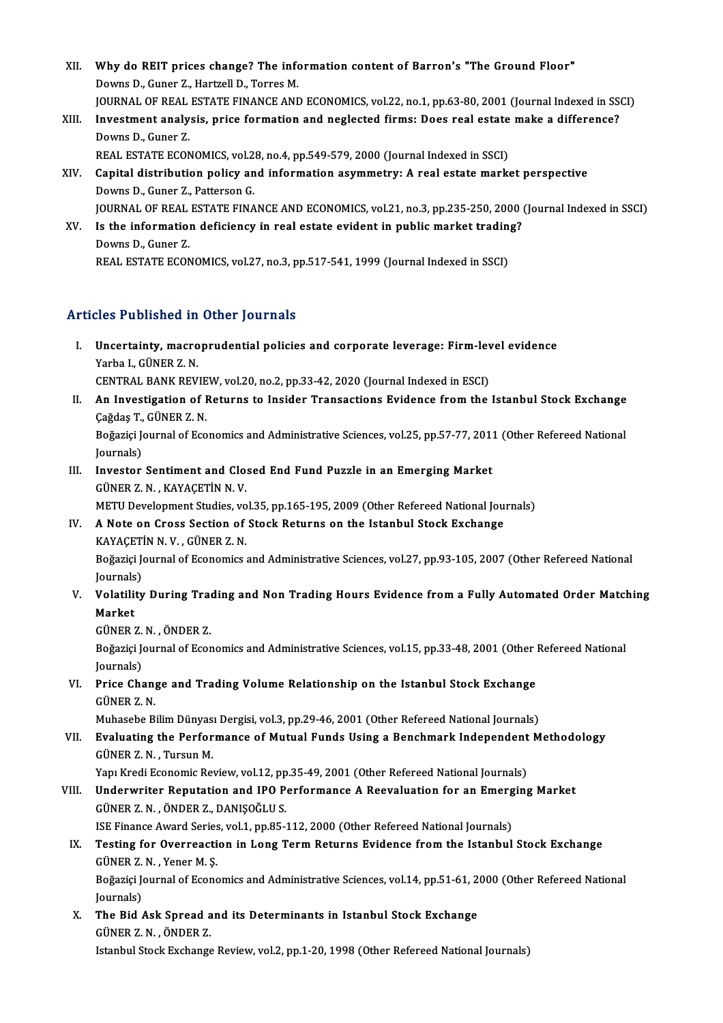- XII. Why do REIT prices change? The information content of Barron's "The Ground Floor"<br>Devine D. Cuper 7, Hartroll D. Terree M Why do REIT prices change? The info<br>Downs D., Guner Z., Hartzell D., Torres M.<br>JOUPNAL OF PEAL FSTATE FINANCE AND Why do REIT prices change? The information content of Barron's "The Ground Floor"<br>Downs D., Guner Z., Hartzell D., Torres M.<br>JOURNAL OF REAL ESTATE FINANCE AND ECONOMICS, vol.22, no.1, pp.63-80, 2001 (Journal Indexed in SS Downs D., Guner Z., Hartzell D., Torres M.<br>JOURNAL OF REAL ESTATE FINANCE AND ECONOMICS, vol.22, no.1, pp.63-80, 2001 (Journal Indexed in SS)<br>XIII. Investment analysis, price formation and neglected firms: Does real estate
- **JOURNAL OF REAL<br>Investment analy<br>Downs D., Guner Z.<br>PEAL ESTATE ECON** Investment analysis, price formation and neglected firms: Does real estate<br>Downs D., Guner Z.<br>REAL ESTATE ECONOMICS, vol.28, no.4, pp.549-579, 2000 (Journal Indexed in SSCI)<br>Capital distribution polisy and information asym

- Downs D., Guner Z.<br>REAL ESTATE ECONOMICS, vol.28, no.4, pp.549-579, 2000 (Journal Indexed in SSCI)<br>XIV. Capital distribution policy and information asymmetry: A real estate market perspective<br>Downs D. Guner 7, Petterson G REAL ESTATE ECONOMICS, vol.2<br>Capital distribution policy an<br>Downs D., Guner Z., Patterson G.<br>JOUPMAL OF PEAL ESTATE FINA Capital distribution policy and information asymmetry: A real estate market perspective<br>Downs D., Guner Z., Patterson G.<br>JOURNAL OF REAL ESTATE FINANCE AND ECONOMICS, vol.21, no.3, pp.235-250, 2000 (Journal Indexed in SSCI Downs D., Guner Z., Patterson G.<br>JOURNAL OF REAL ESTATE FINANCE AND ECONOMICS, vol.21, no.3, pp.235-250, 2000 (<br>XV. Is the information deficiency in real estate evident in public market trading?<br>Downs D. Cuner 7
- **JOURNAL OF REAL<br>Is the information<br>Downs D., Guner Z.<br>PEAL ESTATE ECON** Is the information deficiency in real estate evident in public market tradin<sub>i</sub><br>Downs D., Guner Z.<br>REAL ESTATE ECONOMICS, vol.27, no.3, pp.517-541, 1999 (Journal Indexed in SSCI) REAL ESTATE ECONOMICS, vol.27, no.3, pp.517-541, 1999 (Journal Indexed in SSCI)<br>Articles Published in Other Journals

rticles Published in Other Journals<br>I. Uncertainty, macroprudential policies and corporate leverage: Firm-level evidence<br>Yarba L. CÜNER Z. N Yarba I., Günenca III.<br>Uncertainty, macro<br>Yarba I., GüNER Z. N.<br>CENTRAL PANK PEV Uncertainty, macroprudential policies and corporate leverage: Firm-lev<br>Yarba I., GÜNER Z. N.<br>CENTRAL BANK REVIEW, vol.20, no.2, pp.33-42, 2020 (Journal Indexed in ESCI)<br>An Investigation of Betunne to Insider Transastions E Yarba I., GÜNER Z. N.<br>CENTRAL BANK REVIEW, vol.20, no.2, pp.33-42, 2020 (Journal Indexed in ESCI)<br>II. An Investigation of Returns to Insider Transactions Evidence from the Istanbul Stock Exchange

CENTRAL BANK REVIEW, vol.20, no.2, pp.33-42, 2020 (Journal Indexed in ESCI)

- Boğaziçi Journal of Economics and Administrative Sciences, vol.25, pp.57-77, 2011 (Other Refereed National Journals) Çağdaş T., GÜNER Z. N.
- Boğaziçi Journal of Economics and Administrative Sciences, vol.25, pp.57-77, 2011<br>Journals)<br>III. Investor Sentiment and Closed End Fund Puzzle in an Emerging Market<br>CÜNER Z.N. KAVACETIN N.V. Journals)<br>Investor Sentiment and Clo:<br>GÜNER Z. N. , KAYAÇETİN N. V.<br>METU Dovelopment Studies ve Investor Sentiment and Closed End Fund Puzzle in an Emerging Market<br>GÜNER Z. N., KAYAÇETİN N. V.<br>METU Development Studies, vol.35, pp.165-195, 2009 (Other Refereed National Journals)<br>A Note on Cross Sestion of Stock Petuun

## GÜNER Z. N., KAYAÇETİN N. V.<br>METU Development Studies, vol.35, pp.165-195, 2009 (Other Refereed National Jou<br>IV. A Note on Cross Section of Stock Returns on the Istanbul Stock Exchange<br>KAYACETİN N. V., GÜNER Z. N. METU Development Studies, vo<br>A Note on Cross Section of<br>KAYAÇETİN N. V. , GÜNER Z. N.<br>Poğarici Journal of Esonomiss :

A Note on Cross Section of Stock Returns on the Istanbul Stock Exchange<br>KAYAÇETİN N. V. , GÜNER Z. N.<br>Boğaziçi Journal of Economics and Administrative Sciences, vol.27, pp.93-105, 2007 (Other Refereed National<br>Journale) KAYAÇET<br>Boğaziçi Je<br>Journals)<br>Volatilitu Boğaziçi Journal of Economics and Administrative Sciences, vol.27, pp.93-105, 2007 (Other Refereed National<br>Journals)<br>V. Volatility During Trading and Non Trading Hours Evidence from a Fully Automated Order Matching<br>Ma

Journal<mark>s</mark><br>Volatili<br>Market<br>Cünep Volatility During Trae<br>Market<br>GÜNER Z.N. , ÖNDER Z.<br>Božarisi Journal of Esox

Market<br>GÜNER Z. N. , ÖNDER Z.<br>Boğaziçi Journal of Economics and Administrative Sciences, vol.15, pp.33-48, 2001 (Other Refereed National<br>Journale) GÜNER Z.<br>Boğaziçi Je<br>Journals)<br>Price Che Boğaziçi Journal of Economics and Administrative Sciences, vol.15, pp.33-48, 2001 (Other J<br>Journals)<br>VI. Price Change and Trading Volume Relationship on the Istanbul Stock Exchange<br>CÜNEP 7 N

Journals)<br><mark>Price Chan</mark><br>GÜNER Z. N.<br>Muhasebe P. Price Change and Trading Volume Relationship on the Istanbul Stock Exchange<br>GÜNER Z. N.<br>Muhasebe Bilim Dünyası Dergisi, vol.3, pp.29-46, 2001 (Other Refereed National Journals)<br>Evaluating the Performange of Mutual Eunde He

GÜNER Z. N.<br>Muhasebe Bilim Dünyası Dergisi, vol.3, pp.29-46, 2001 (Other Refereed National Journals)<br>VII. Evaluating the Performance of Mutual Funds Using a Benchmark Independent Methodology<br>CÜNER Z. N. Turgun M Muhasebe Bilim Dünyas<br><mark>Evaluating the Perfor</mark><br>GÜNER Z. N. , Tursun M.<br>Vani Krodi Economic Boi Evaluating the Performance of Mutual Funds Using a Benchmark Independent<br>GÜNER Z. N. , Tursun M.<br>Yapı Kredi Economic Review, vol.12, pp.35-49, 2001 (Other Refereed National Journals)<br>Undepuriter Benutation and JBO Berforma

GÜNER Z. N. , Tursun M.<br>Yapı Kredi Economic Review, vol.12, pp.35-49, 2001 (Other Refereed National Journals)<br>VIII. Underwriter Reputation and IPO Performance A Reevaluation for an Emerging Market<br>CÜNER Z. N. ÖNDER Z. DANI Yapı Kredi Economic Review, vol.12, pp.35-49, 2001 (Other Refereed National Journals)<br>Underwriter Reputation and IPO Performance A Reevaluation for an Emerging<br>GÜNER Z. N. , ÖNDER Z., DANIŞOĞLU S.<br>ISE Finance Award Series, Underwriter Reputation and IPO Performance A Reevaluation for an Emerg<br>GÜNER Z. N. , ÖNDER Z., DANIŞOĞLU S.<br>ISE Finance Award Series, vol.1, pp.85-112, 2000 (Other Refereed National Journals)<br>Testing for Overreestion in Lo GÜNER Z. N. , ÖNDER Z., DANIŞOĞLU S.<br>ISE Finance Award Series, vol.1, pp.85-112, 2000 (Other Refereed National Journals)<br>IX. Testing for Overreaction in Long Term Returns Evidence from the Istanbul Stock Exchange<br>CÜNER

# **ISE Finance Award Series<br>Testing for Overreacti<br>GÜNER Z. N. , Yener M. Ş.<br>Poğazisi Journal of Esone** Testing for Overreaction in Long Term Returns Evidence from the Istanbul Stock Exchange<br>GÜNER Z. N. , Yener M. Ş.<br>Boğaziçi Journal of Economics and Administrative Sciences, vol.14, pp.51-61, 2000 (Other Refereed National<br>J

GÜNER Z. N. , Yener M. Ş.<br>Boğaziçi Journal of Economics and Administrative Sciences, vol.14, pp.51-61, 2000 (Other Refereed National<br>Journals) Boğaziçi Journal of Economics and Administrative Sciences, vol.14, pp.51-61, 2<br>Journals)<br>X. The Bid Ask Spread and its Determinants in Istanbul Stock Exchange<br>CÜNER Z.N. ÖNDER Z.

Journals)<br><mark>The Bid Ask Spread a</mark><br>GÜNER Z.N. , ÖNDER Z.<br>Istanbul Steek Exchangs GÜNER Z. N. , ÖNDER Z.<br>Istanbul Stock Exchange Review, vol.2, pp.1-20, 1998 (Other Refereed National Journals)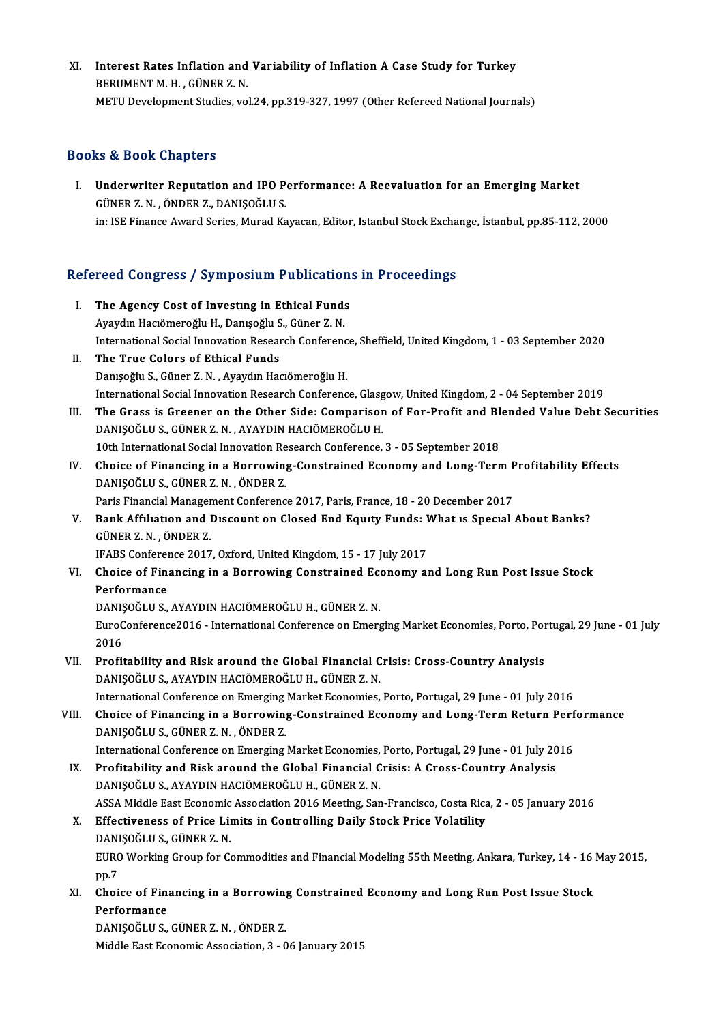XI. Interest Rates Inflation and Variability of Inflation A Case Study for Turkey<br>REPUMENT M. H. CÜNER 7 N **Interest Rates Inflation and<br>BERUMENT M. H. , GÜNER Z. N.<br>METIJ Develenment Studies vo** Interest Rates Inflation and Variability of Inflation A Case Study for Turkey<br>BERUMENT M. H. , GÜNER Z. N.<br>METU Development Studies, vol.24, pp.319-327, 1997 (Other Refereed National Journals) METU Development Studies, vol.24, pp.319-327, 1997 (Other Refereed National Journals)<br>Books & Book Chapters

OOks & Book Chapters<br>I. Underwriter Reputation and IPO Performance: A Reevaluation for an Emerging Market<br>CÜNER 7 N. ÖNDER 7, DANISOČLUS ET & DOOR GRAPEOIS<br>Underwriter Reputation and IPO P<br>GÜNER Z. N., ÖNDER Z., DANIŞOĞLUS. Underwriter Reputation and IPO Performance: A Reevaluation for an Emerging Market<br>GÜNER Z. N. , ÖNDER Z., DANIŞOĞLU S.<br>in: ISE Finance Award Series, Murad Kayacan, Editor, Istanbul Stock Exchange, İstanbul, pp.85-112, 2000

# m: ise rinance Award series, Murad Kayacan, Editor, Istanbul Stock Excha<br>Refereed Congress / Symposium Publications in Proceedings

- efereed Congress / Symposium Publication<br>I. The Agency Cost of Investing in Ethical Funds<br>Avaidin Hagamarağlu H. Danisağlu S. Günen 7 N I. The Agency Cost of Investing in Ethical Funds<br>Ayaydın Hacıömeroğlu H., Danışoğlu S., Güner Z. N. International Social Innovation Research Conference, Sheffield, United Kingdom, 1 - 03 September 2020 II. The True Colors of Ethical Funds Danışoğlu S., Güner Z. N., Ayaydın Hacıömeroğlu H. The True Colors of Ethical Funds<br>Danışoğlu S., Güner Z. N. , Ayaydın Hacıömeroğlu H.<br>International Social Innovation Research Conference, Glasgow, United Kingdom, 2 - 04 September 2019<br>The Crass is Greener on the Other Sid Danışoğlu S., Güner Z. N. , Ayaydın Hacıömeroğlu H.<br>International Social Innovation Research Conference, Glasgow, United Kingdom, 2 - 04 September 2019<br>III. The Grass is Greener on the Other Side: Comparison of For-Profit
- International Social Innovation Research Conference, Glasg<br>The Grass is Greener on the Other Side: Comparisor<br>DANIŞOĞLU S., GÜNER Z. N. , AYAYDIN HACIÖMEROĞLU H.<br>10th International Social Innovation Besearch Conference The Grass is Greener on the Other Side: Comparison of For-Profit and Bl<br>DANIŞOĞLU S., GÜNER Z. N. , AYAYDIN HACIÖMEROĞLU H.<br>10th International Social Innovation Research Conference, 3 - 05 September 2018<br>Chaise of Einangin DANIŞOĞLU S., GÜNER Z. N. , AYAYDIN HACIÖMEROĞLU H.<br>10th International Social Innovation Research Conference, 3 - 05 September 2018<br>IV. Choice of Financing in a Borrowing-Constrained Economy and Long-Term Profitability Eff
- 10th International Social Innovation Research Conference, 3 05 September 2018<br>Choice of Financing in a Borrowing-Constrained Economy and Long-Term I<br>DANIŞOĞLU S., GÜNER Z.N. ,ÖNDER Z.<br>Paris Financial Management Conferenc Choice of Financing in a Borrowing-Constrained Economy and Long-Term F<br>DANIŞOĞLU S., GÜNER Z. N. , ÖNDER Z.<br>Paris Financial Management Conference 2017, Paris, France, 18 - 20 December 2017<br>Paris Affiliation and Dissount on

DANIŞOĞLU S., GÜNER Z. N. , ÖNDER Z.<br>Paris Financial Management Conference 2017, Paris, France, 18 - 20 December 2017<br>V. Bank Affılıatıon and Dıscount on Closed End Equity Funds: What is Special About Banks?<br>CÜNER Z.N. ÖND Paris Financial Manager<br>**Bank Affiliation and l<br>GÜNER Z. N. , ÖNDER Z.**<br>IEAPS Conference 2017 Bank Affiliation and Discount on Closed End Equity Funds: I<br>GÜNER Z. N., ÖNDER Z.<br>IFABS Conference 2017, Oxford, United Kingdom, 15 - 17 July 2017<br>Chaise of Einanging in a Borrowing Constrained Esenomy of GÜNER Z. N. , ÖNDER Z.<br>IFABS Conference 2017, Oxford, United Kingdom, 15 - 17 July 2017<br>VI. Choice of Financing in a Borrowing Constrained Economy and Long Run Post Issue Stock

Performance

DANIŞOĞLU S., AYAYDIN HACIÖMEROĞLU H., GÜNER Z. N.

Performance<br>DANIŞOĞLU S., AYAYDIN HACIÖMEROĞLU H., GÜNER Z. N.<br>EuroConference2016 - International Conference on Emerging Market Economies, Porto, Portugal, 29 June - 01 July DANIŞ<br>EuroC<br>2016<br>Profit EuroConference2016 - International Conference on Emerging Market Economies, Porto, Por<br>2016<br>VII. Profitability and Risk around the Global Financial Crisis: Cross-Country Analysis<br>DANISOČLUS AVAVDIN HACIÔMEROČLUH CÜNER Z N

- 2016<br>VII. Profitability and Risk around the Global Financial Crisis: Cross-Country Analysis<br>DANIŞOĞLU S., AYAYDIN HACIÖMEROĞLU H., GÜNER Z. N. Profitability and Risk around the Global Financial Crisis: Cross-Country Analysis<br>DANIȘOĞLU S., AYAYDIN HACIÖMEROĞLU H., GÜNER Z. N.<br>International Conference on Emerging Market Economies, Porto, Portugal, 29 June - 01 July
- VIII. Choice of Financing in a Borrowing-Constrained Economy and Long-Term Return Performance<br>DANIȘOĞLU S., GÜNER Z. N., ÖNDER Z. International Conference on Emerging<br>Choice of Financing in a Borrowing<br>DANIŞOĞLU S., GÜNER Z.N., ÖNDER Z. Choice of Financing in a Borrowing-Constrained Economy and Long-Term Return Perf<br>DANIŞOĞLU S., GÜNER Z. N. , ÖNDER Z.<br>International Conference on Emerging Market Economies, Porto, Portugal, 29 June - 01 July 2016<br>Profitabi
	- IX. Profitability and Risk around the Global Financial Crisis: A Cross-Country Analysis International Conference on Emerging Market Economies,<br>Profitability and Risk around the Global Financial C<br>DANIŞOĞLU S., AYAYDIN HACIÖMEROĞLU H., GÜNER Z. N.<br>ASSA Middle Fest Feenemis Assosiation 2016 Mesting Sen Profitability and Risk around the Global Financial Crisis: A Cross-Country Analysis<br>DANIŞOĞLU S., AYAYDIN HACIÖMEROĞLU H., GÜNER Z. N.<br>ASSA Middle East Economic Association 2016 Meeting, San-Francisco, Costa Rica, 2 - 05 J
	- DANIȘOĞLU S., AYAYDIN HACIÖMEROĞLU H., GÜNER Z. N.<br>ASSA Middle East Economic Association 2016 Meeting, San-Francisco, Costa Rica<br>X. Effectiveness of Price Limits in Controlling Daily Stock Price Volatility<br>DANISOĞLUS CÜNER ASSA Middle East Economic<br>Effectiveness of Price Lin<br>DANIŞOĞLU S., GÜNER Z. N.<br>EURO Working Croup for Co Effectiveness of Price Limits in Controlling Daily Stock Price Volatility<br>DANIŞOĞLU S., GÜNER Z. N.<br>EURO Working Group for Commodities and Financial Modeling 55th Meeting, Ankara, Turkey, 14 - 16 May 2015,<br>nn 7 DAN<br>EURC<br>pp.7<br>Chai EURO Working Group for Commodities and Financial Modeling 55th Meeting, Ankara, Turkey, 14 - 16<br>pp.7<br>XI. Choice of Financing in a Borrowing Constrained Economy and Long Run Post Issue Stock<br>Porformance
	- pp.7<br>Choice of Fina<br>Performance<br>DANISOČLUS Choice of Financing in a Borrowing<br>Performance<br>DANIŞOĞLU S., GÜNER Z. N. , ÖNDER Z.<br>Middle Fest Feenemis Association 3 – 0 Performance<br>DANIŞOĞLU S., GÜNER Z. N. , ÖNDER Z.<br>Middle East Economic Association, 3 - 06 January 2015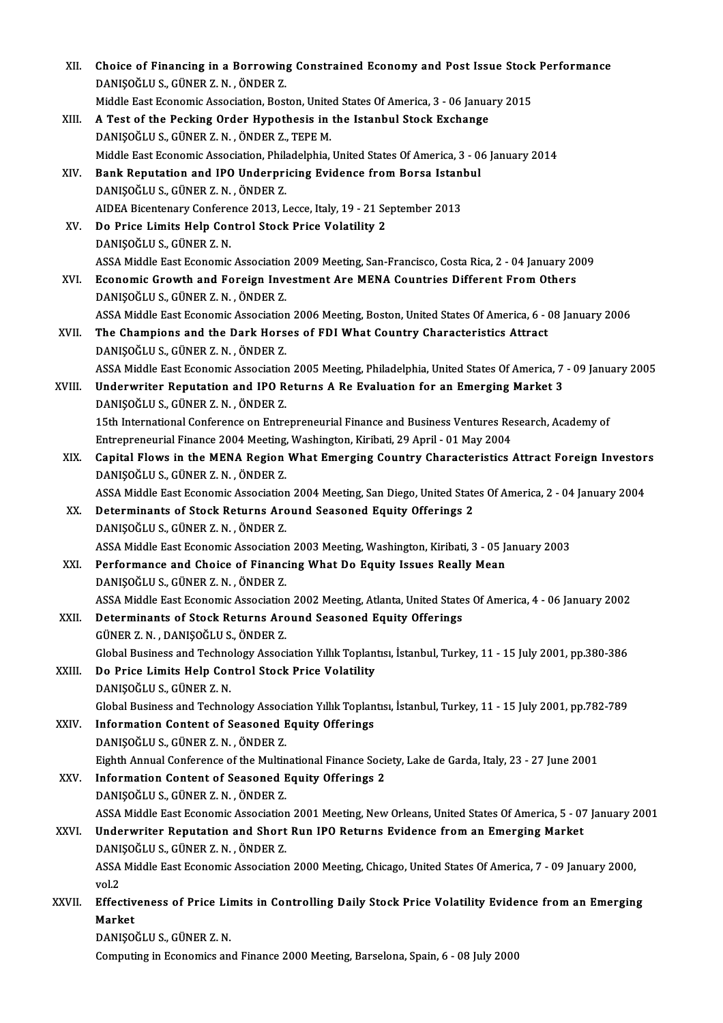| XII.   | Choice of Financing in a Borrowing Constrained Economy and Post Issue Stock Performance<br>DANIŞOĞLU S., GÜNER Z. N., ÖNDER Z.          |
|--------|-----------------------------------------------------------------------------------------------------------------------------------------|
|        | Middle East Economic Association, Boston, United States Of America, 3 - 06 January 2015                                                 |
| XIII.  | A Test of the Pecking Order Hypothesis in the Istanbul Stock Exchange                                                                   |
|        | DANIŞOĞLU S., GÜNER Z. N., ÖNDER Z., TEPE M.                                                                                            |
|        | Middle East Economic Association, Philadelphia, United States Of America, 3 - 06 January 2014                                           |
| XIV.   | Bank Reputation and IPO Underpricing Evidence from Borsa Istanbul                                                                       |
|        | DANIŞOĞLU S., GÜNER Z. N., ÖNDER Z.                                                                                                     |
|        | AIDEA Bicentenary Conference 2013, Lecce, Italy, 19 - 21 September 2013                                                                 |
| XV.    | Do Price Limits Help Control Stock Price Volatility 2                                                                                   |
|        | DANIŞOĞLU S., GÜNER Z. N.                                                                                                               |
|        | ASSA Middle East Economic Association 2009 Meeting, San-Francisco, Costa Rica, 2 - 04 January 2009                                      |
| XVI.   | Economic Growth and Foreign Investment Are MENA Countries Different From Others<br>DANIŞOĞLU S., GÜNER Z. N., ÖNDER Z.                  |
|        | ASSA Middle East Economic Association 2006 Meeting, Boston, United States Of America, 6 - 08 January 2006                               |
| XVII.  | The Champions and the Dark Horses of FDI What Country Characteristics Attract                                                           |
|        | DANIŞOĞLU S., GÜNER Z. N., ÖNDER Z.                                                                                                     |
|        | ASSA Middle East Economic Association 2005 Meeting, Philadelphia, United States Of America, 7 - 09 January 2005                         |
| XVIII. | Underwriter Reputation and IPO Returns A Re Evaluation for an Emerging Market 3<br>DANIŞOĞLU S., GÜNER Z. N., ÖNDER Z.                  |
|        | 15th International Conference on Entrepreneurial Finance and Business Ventures Research, Academy of                                     |
|        | Entrepreneurial Finance 2004 Meeting, Washington, Kiribati, 29 April - 01 May 2004                                                      |
| XIX.   | Capital Flows in the MENA Region What Emerging Country Characteristics Attract Foreign Investors<br>DANIŞOĞLU S., GÜNER Z. N., ÖNDER Z. |
|        | ASSA Middle East Economic Association 2004 Meeting, San Diego, United States Of America, 2 - 04 January 2004                            |
| XX.    | Determinants of Stock Returns Around Seasoned Equity Offerings 2<br>DANIŞOĞLU S., GÜNER Z. N., ÖNDER Z.                                 |
|        | ASSA Middle East Economic Association 2003 Meeting, Washington, Kiribati, 3 - 05 January 2003                                           |
| XXI.   | Performance and Choice of Financing What Do Equity Issues Really Mean<br>DANIŞOĞLU S., GÜNER Z. N., ÖNDER Z.                            |
|        | ASSA Middle East Economic Association 2002 Meeting, Atlanta, United States Of America, 4 - 06 January 2002                              |
| XXII.  | Determinants of Stock Returns Around Seasoned Equity Offerings<br>GÜNER Z. N., DANIŞOĞLU S., ÖNDER Z.                                   |
|        | Global Business and Technology Association Yıllık Toplantısı, İstanbul, Turkey, 11 - 15 July 2001, pp.380-386                           |
| XXIII. | Do Price Limits Help Control Stock Price Volatility<br>DANIŞOĞLU S., GÜNER Z. N.                                                        |
|        | Global Business and Technology Association Yıllık Toplantısı, İstanbul, Turkey, 11 - 15 July 2001, pp.782-789                           |
| XXIV.  | <b>Information Content of Seasoned Equity Offerings</b>                                                                                 |
|        | DANIŞOĞLU S., GÜNER Z. N., ÖNDER Z.                                                                                                     |
|        | Eighth Annual Conference of the Multinational Finance Society, Lake de Garda, Italy, 23 - 27 June 2001                                  |
| XXV.   | <b>Information Content of Seasoned Equity Offerings 2</b><br>DANIŞOĞLU S., GÜNER Z. N., ÖNDER Z.                                        |
|        | ASSA Middle East Economic Association 2001 Meeting, New Orleans, United States Of America, 5 - 07 January 2001                          |
| XXVI.  | Underwriter Reputation and Short Run IPO Returns Evidence from an Emerging Market                                                       |
|        | DANIŞOĞLU S., GÜNER Z. N., ÖNDER Z.                                                                                                     |
|        | ASSA Middle East Economic Association 2000 Meeting, Chicago, United States Of America, 7 - 09 January 2000,<br>vol 2                    |
| XXVII. | Effectiveness of Price Limits in Controlling Daily Stock Price Volatility Evidence from an Emerging<br>Market                           |
|        | DANIŞOĞLU S., GÜNER Z. N.                                                                                                               |
|        | Computing in Economics and Finance 2000 Meeting, Barselona, Spain, 6 - 08 July 2000                                                     |